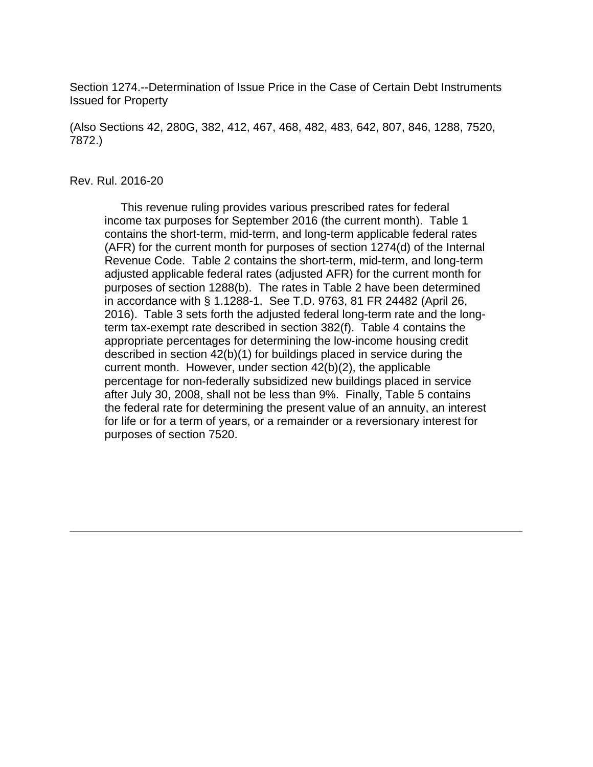Section 1274.--Determination of Issue Price in the Case of Certain Debt Instruments Issued for Property

(Also Sections 42, 280G, 382, 412, 467, 468, 482, 483, 642, 807, 846, 1288, 7520, 7872.)

#### Rev. Rul. 2016-20

 This revenue ruling provides various prescribed rates for federal income tax purposes for September 2016 (the current month). Table 1 contains the short-term, mid-term, and long-term applicable federal rates (AFR) for the current month for purposes of section 1274(d) of the Internal Revenue Code. Table 2 contains the short-term, mid-term, and long-term adjusted applicable federal rates (adjusted AFR) for the current month for purposes of section 1288(b). The rates in Table 2 have been determined in accordance with § 1.1288-1. See T.D. 9763, 81 FR 24482 (April 26, 2016). Table 3 sets forth the adjusted federal long-term rate and the longterm tax-exempt rate described in section 382(f). Table 4 contains the appropriate percentages for determining the low-income housing credit described in section 42(b)(1) for buildings placed in service during the current month. However, under section 42(b)(2), the applicable percentage for non-federally subsidized new buildings placed in service after July 30, 2008, shall not be less than 9%. Finally, Table 5 contains the federal rate for determining the present value of an annuity, an interest for life or for a term of years, or a remainder or a reversionary interest for purposes of section 7520.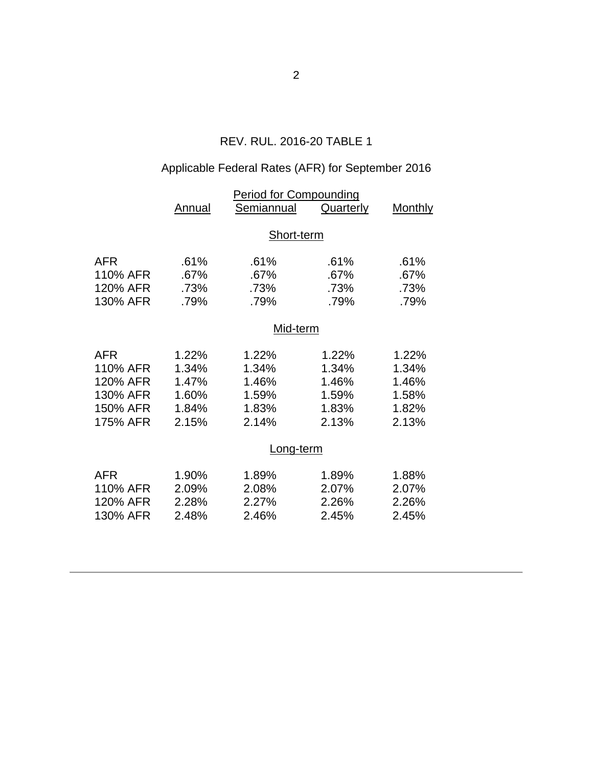## REV. RUL. 2016-20 TABLE 1

## Applicable Federal Rates (AFR) for September 2016

|            | <b>Period for Compounding</b> |            |                  |                |  |  |
|------------|-------------------------------|------------|------------------|----------------|--|--|
|            | Annual                        | Semiannual | <b>Quarterly</b> | <b>Monthly</b> |  |  |
|            | Short-term                    |            |                  |                |  |  |
| <b>AFR</b> | .61%                          | .61%       | .61%             | .61%           |  |  |
| 110% AFR   | .67%                          | .67%       | .67%             | .67%           |  |  |
| 120% AFR   | .73%                          | .73%       | .73%             | .73%           |  |  |
| 130% AFR   | .79%                          | .79%       | .79%             | .79%           |  |  |
|            | Mid-term                      |            |                  |                |  |  |
| <b>AFR</b> | 1.22%                         | 1.22%      | 1.22%            | 1.22%          |  |  |
| 110% AFR   | 1.34%                         | 1.34%      | 1.34%            | 1.34%          |  |  |
| 120% AFR   | 1.47%                         | 1.46%      | 1.46%            | 1.46%          |  |  |
| 130% AFR   | 1.60%                         | 1.59%      | 1.59%            | 1.58%          |  |  |
| 150% AFR   | 1.84%                         | 1.83%      | 1.83%            | 1.82%          |  |  |
| 175% AFR   | 2.15%                         | 2.14%      | 2.13%            | 2.13%          |  |  |
|            | Long-term                     |            |                  |                |  |  |
| <b>AFR</b> | 1.90%                         | 1.89%      | 1.89%            | 1.88%          |  |  |
| 110% AFR   | 2.09%                         | 2.08%      | 2.07%            | 2.07%          |  |  |
| 120% AFR   | 2.28%                         | 2.27%      | 2.26%            | 2.26%          |  |  |
| 130% AFR   | 2.48%                         | 2.46%      | 2.45%            | 2.45%          |  |  |
|            |                               |            |                  |                |  |  |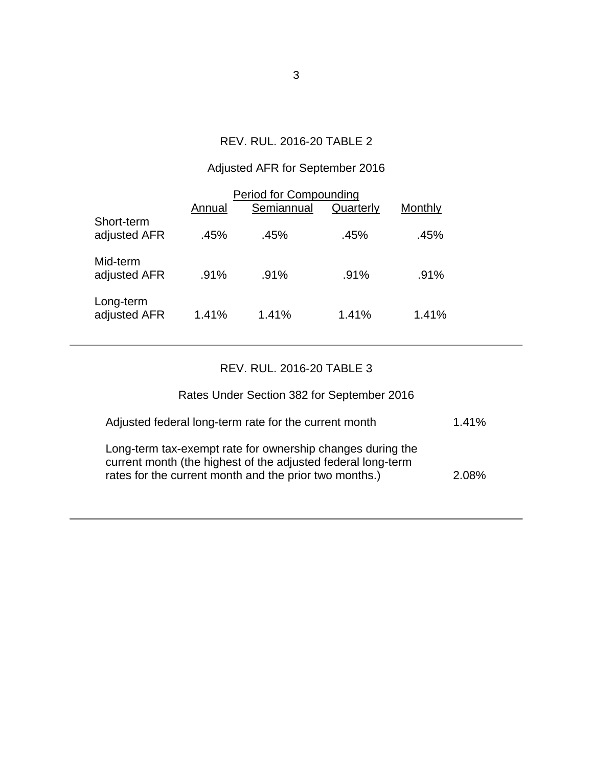### REV. RUL. 2016-20 TABLE 2

## Adjusted AFR for September 2016

| Period for Compounding     |         |            |           |         |  |  |  |
|----------------------------|---------|------------|-----------|---------|--|--|--|
|                            | Annual  | Semiannual | Quarterly | Monthly |  |  |  |
| Short-term<br>adjusted AFR | .45%    | .45%       | .45%      | .45%    |  |  |  |
| Mid-term<br>adjusted AFR   | $.91\%$ | .91%       | .91%      | .91%    |  |  |  |
| Long-term<br>adjusted AFR  | 1.41%   | 1.41%      | 1.41%     | 1.41%   |  |  |  |

## REV. RUL. 2016-20 TABLE 3

# Rates Under Section 382 for September 2016

| Adjusted federal long-term rate for the current month                                                                                                                                | 1.41% |
|--------------------------------------------------------------------------------------------------------------------------------------------------------------------------------------|-------|
| Long-term tax-exempt rate for ownership changes during the<br>current month (the highest of the adjusted federal long-term<br>rates for the current month and the prior two months.) | 2.08% |